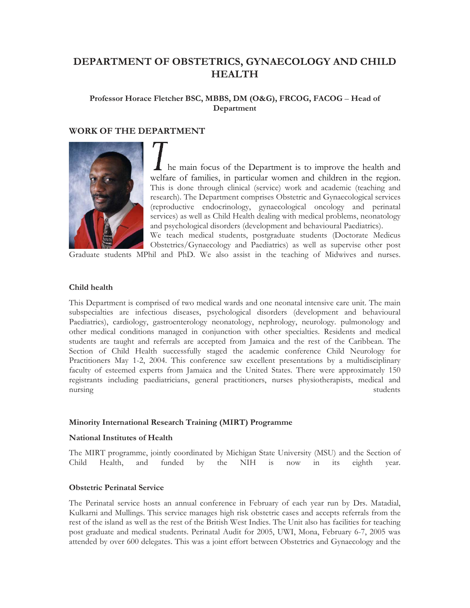# **DEPARTMENT OF OBSTETRICS, GYNAECOLOGY AND CHILD HEALTH**

## **Professor Horace Fletcher BSC, MBBS, DM (O&G), FRCOG, FACOG** – **Head of Department**

## **WORK OF THE DEPARTMENT**



he main focus of the Department is to improve the health and welfare of families, in particular women and children in the region. This is done through clinical (service) work and academic (teaching and research). The Department comprises Obstetric and Gynaecological services (reproductive endocrinology, gynaecological oncology and perinatal services) as well as Child Health dealing with medical problems, neonatology and psychological disorders (development and behavioural Paediatrics).

We teach medical students, postgraduate students (Doctorate Medicus Obstetrics/Gynaecology and Paediatrics) as well as supervise other post Graduate students MPhil and PhD. We also assist in the teaching of Midwives and nurses.

## **Child health**

This Department is comprised of two medical wards and one neonatal intensive care unit. The main subspecialties are infectious diseases, psychological disorders (development and behavioural Paediatrics), cardiology, gastroenterology neonatology, nephrology, neurology. pulmonology and other medical conditions managed in conjunction with other specialties. Residents and medical students are taught and referrals are accepted from Jamaica and the rest of the Caribbean. The Section of Child Health successfully staged the academic conference Child Neurology for Practitioners May 1-2, 2004. This conference saw excellent presentations by a multidisciplinary faculty of esteemed experts from Jamaica and the United States. There were approximately 150 registrants including paediatricians, general practitioners, nurses physiotherapists, medical and nursing students

#### **Minority International Research Training (MIRT) Programme**

#### **National Institutes of Health**

The MIRT programme, jointly coordinated by Michigan State University (MSU) and the Section of Child Health, and funded by the NIH is now in its eighth year.

#### **Obstetric Perinatal Service**

The Perinatal service hosts an annual conference in February of each year run by Drs. Matadial, Kulkarni and Mullings. This service manages high risk obstetric cases and accepts referrals from the rest of the island as well as the rest of the British West Indies. The Unit also has facilities for teaching post graduate and medical students. Perinatal Audit for 2005, UWI, Mona, February 6-7, 2005 was attended by over 600 delegates. This was a joint effort between Obstetrics and Gynaecology and the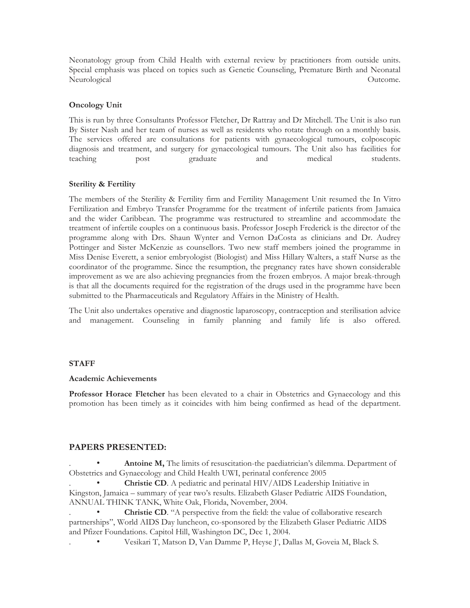Neonatology group from Child Health with external review by practitioners from outside units. Special emphasis was placed on topics such as Genetic Counseling, Premature Birth and Neonatal Neurological **Outcome.** Outcome.

## **Oncology Unit**

This is run by three Consultants Professor Fletcher, Dr Rattray and Dr Mitchell. The Unit is also run By Sister Nash and her team of nurses as well as residents who rotate through on a monthly basis. The services offered are consultations for patients with gynaecological tumours, colposcopic diagnosis and treatment, and surgery for gynaecological tumours. The Unit also has facilities for teaching post graduate and medical students.

## **Sterility & Fertility**

The members of the Sterility & Fertility firm and Fertility Management Unit resumed the In Vitro Fertilization and Embryo Transfer Programme for the treatment of infertile patients from Jamaica and the wider Caribbean. The programme was restructured to streamline and accommodate the treatment of infertile couples on a continuous basis. Professor Joseph Frederick is the director of the programme along with Drs. Shaun Wynter and Vernon DaCosta as clinicians and Dr. Audrey Pottinger and Sister McKenzie as counsellors. Two new staff members joined the programme in Miss Denise Everett, a senior embryologist (Biologist) and Miss Hillary Walters, a staff Nurse as the coordinator of the programme. Since the resumption, the pregnancy rates have shown considerable improvement as we are also achieving pregnancies from the frozen embryos. A major break-through is that all the documents required for the registration of the drugs used in the programme have been submitted to the Pharmaceuticals and Regulatory Affairs in the Ministry of Health.

The Unit also undertakes operative and diagnostic laparoscopy, contraception and sterilisation advice and management. Counseling in family planning and family life is also offered.

## **STAFF**

#### **Academic Achievements**

**Professor Horace Fletcher** has been elevated to a chair in Obstetrics and Gynaecology and this promotion has been timely as it coincides with him being confirmed as head of the department.

## **PAPERS PRESENTED:**

Antoine M, The limits of resuscitation-the paediatrician's dilemma. Department of Obstetrics and Gynaecology and Child Health UWI, perinatal conference 2005

**Christie CD**. A pediatric and perinatal HIV/AIDS Leadership Initiative in Kingston, Jamaica – summary of year two's results. Elizabeth Glaser Pediatric AIDS Foundation, ANNUAL THINK TANK, White Oak, Florida, November, 2004.

**Christie CD.** "A perspective from the field: the value of collaborative research partnerships", World AIDS Day luncheon, co-sponsored by the Elizabeth Glaser Pediatric AIDS and Pfizer Foundations. Capitol Hill, Washington DC, Dec 1, 2004.

. • Vesikari T, Matson D, Van Damme P, Heyse J4 , Dallas M, Goveia M, Black S.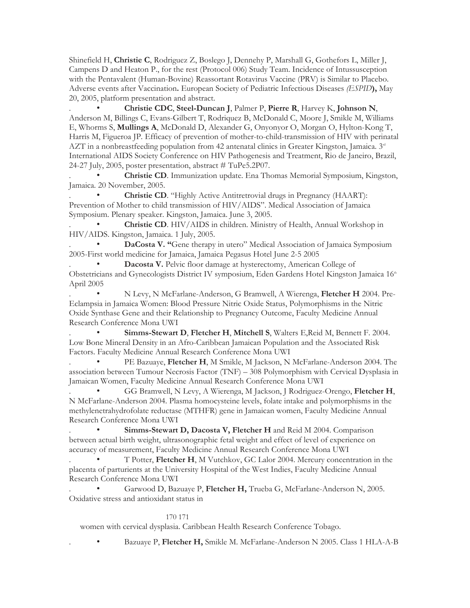Shinefield H, **Christie C**, Rodriguez Z, Boslego J, Dennehy P, Marshall G, Gothefors L, Miller J, Campens D and Heaton P., for the rest (Protocol 006) Study Team. Incidence of Intussusception with the Pentavalent (Human-Bovine) Reassortant Rotavirus Vaccine (PRV) is Similar to Placebo. Adverse events after Vaccination**.** European Society of Pediatric Infectious Diseases *(ESPID***),** May 20, 2005, platform presentation and abstract.

. • **Christie CDC**, **Steel-Duncan J**, Palmer P, **Pierre R**, Harvey K, **Johnson N**, Anderson M, Billings C, Evans-Gilbert T, Rodriquez B, McDonald C, Moore J, Smikle M, Williams E, Whorms S, **Mullings A**, McDonald D, Alexander G, Onyonyor O, Morgan O, Hylton-Kong T, Harris M, Figueroa JP. Efficacy of prevention of mother-to-child-transmission of HIV with perinatal AZT in a nonbreastfeeding population from 42 antenatal clinics in Greater Kingston, Jamaica.  $3<sup>rd</sup>$ International AIDS Society Conference on HIV Pathogenesis and Treatment, Rio de Janeiro, Brazil, 24-27 July, 2005, poster presentation, abstract # TuPe5.2P07.

. • **Christie CD**. Immunization update. Ena Thomas Memorial Symposium, Kingston, Jamaica. 20 November, 2005.

. • **Christie CD**. "Highly Active Antitretrovial drugs in Pregnancy (HAART): Prevention of Mother to child transmission of HIV/AIDS". Medical Association of Jamaica Symposium. Plenary speaker. Kingston, Jamaica. June 3, 2005.

. • **Christie CD**. HIV/AIDS in children. Ministry of Health, Annual Workshop in HIV/AIDS. Kingston, Jamaica. 1 July, 2005.

DaCosta V. "Gene therapy in utero" Medical Association of Jamaica Symposium 2005-First world medicine for Jamaica, Jamaica Pegasus Hotel June 2-5 2005

Dacosta V. Pelvic floor damage at hysterectomy, American College of Obstetricians and Gynecologists District IV symposium, Eden Gardens Hotel Kingston Jamaica 16<sup>th</sup> April 2005

. • N Levy, N McFarlane-Anderson, G Bramwell, A Wierenga, **Fletcher H** 2004. Pre-Eclampsia in Jamaica Women: Blood Pressure Nitric Oxide Status, Polymorphisms in the Nitric Oxide Synthase Gene and their Relationship to Pregnancy Outcome, Faculty Medicine Annual Research Conference Mona UWI

. • **Simms-Stewart D**, **Fletcher H**, **Mitchell S**, Walters E,Reid M, Bennett F. 2004. Low Bone Mineral Density in an Afro-Caribbean Jamaican Population and the Associated Risk Factors. Faculty Medicine Annual Research Conference Mona UWI

. • PE Bazuaye, **Fletcher H**, M Smikle, M Jackson, N McFarlane-Anderson 2004. The association between Tumour Necrosis Factor (TNF) – 308 Polymorphism with Cervical Dysplasia in Jamaican Women, Faculty Medicine Annual Research Conference Mona UWI

. • GG Bramwell, N Levy, A Wierenga, M Jackson, J Rodriguez-Orengo, **Fletcher H**, N McFarlane-Anderson 2004. Plasma homocysteine levels, folate intake and polymorphisms in the methylenetrahydrofolate reductase (MTHFR) gene in Jamaican women, Faculty Medicine Annual Research Conference Mona UWI

Simms-Stewart D, Dacosta V, Fletcher H and Reid M 2004. Comparison between actual birth weight, ultrasonographic fetal weight and effect of level of experience on accuracy of measurement, Faculty Medicine Annual Research Conference Mona UWI

. • T Potter, **Fletcher H**, M Vutchkov, GC Lalor 2004. Mercury concentration in the placenta of parturients at the University Hospital of the West Indies, Faculty Medicine Annual Research Conference Mona UWI

. • Garwood D, Bazuaye P, **Fletcher H,** Trueba G, McFarlane-Anderson N, 2005. Oxidative stress and antioxidant status in

#### 170 171

women with cervical dysplasia. Caribbean Health Research Conference Tobago.

. • Bazuaye P, **Fletcher H,** Smikle M. McFarlane-Anderson N 2005. Class 1 HLA-A-B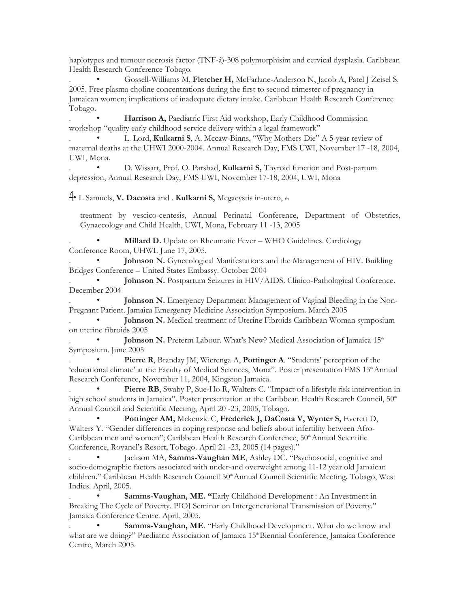haplotypes and tumour necrosis factor (TNF-á)-308 polymorphisim and cervical dysplasia. Caribbean Health Research Conference Tobago.

. • Gossell-Williams M, **Fletcher H,** McFarlane-Anderson N, Jacob A, Patel J Zeisel S. 2005. Free plasma choline concentrations during the first to second trimester of pregnancy in Jamaican women; implications of inadequate dietary intake. Caribbean Health Research Conference Tobago.

Harrison A, Paediatric First Aid workshop, Early Childhood Commission workshop "quality early childhood service delivery within a legal framework"

. • L. Lord, **Kulkarni S**, A. Mccaw-Binns, "Why Mothers Die" A 5-year review of maternal deaths at the UHWI 2000-2004. Annual Research Day, FMS UWI, November 17 -18, 2004, UWI, Mona.

. • D. Wissart, Prof. O. Parshad, **Kulkarni S,** Thyroid function and Post-partum depression, Annual Research Day, FMS UWI, November 17-18, 2004, UWI, Mona

• L Samuels, **V. Dacosta** and . **Kulkarni S,** Megacystis in-utero, th

treatment by vescico-centesis, Annual Perinatal Conference, Department of Obstetrics, Gynaecology and Child Health, UWI, Mona, February 11 -13, 2005

**Millard D.** Update on Rheumatic Fever – WHO Guidelines. Cardiology Conference Room, UHWI. June 17, 2005.

Johnson N. Gynecological Manifestations and the Management of HIV. Building Bridges Conference – United States Embassy. October 2004

Johnson N. Postpartum Seizures in HIV/AIDS. Clinico-Pathological Conference. December 2004

Johnson N. Emergency Department Management of Vaginal Bleeding in the Non-Pregnant Patient. Jamaica Emergency Medicine Association Symposium. March 2005

Johnson N. Medical treatment of Uterine Fibroids Caribbean Woman symposium on uterine fibroids 2005

Johnson N. Preterm Labour. What's New? Medical Association of Jamaica 15<sup>th</sup> Symposium. June 2005

Pierre R, Branday JM, Wierenga A, Pottinger A. "Students' perception of the 'educational climate' at the Faculty of Medical Sciences, Mona". Poster presentation FMS 13<sup>th</sup> Annual Research Conference, November 11, 2004, Kingston Jamaica.

Pierre RB, Swaby P, Sue-Ho R, Walters C. "Impact of a lifestyle risk intervention in high school students in Jamaica". Poster presentation at the Caribbean Health Research Council, 50<sup>th</sup> Annual Council and Scientific Meeting, April 20 -23, 2005, Tobago.

Pottinger AM, Mckenzie C, Frederick J, DaCosta V, Wynter S, Everett D, Walters Y. "Gender differences in coping response and beliefs about infertility between Afro-Caribbean men and women"; Caribbean Health Research Conference, 50<sup>th</sup> Annual Scientific Conference, Rovanel's Resort, Tobago. April 21 -23, 2005 (14 pages)."

Jackson MA, **Samms-Vaughan ME**, Ashley DC. "Psychosocial, cognitive and socio-demographic factors associated with under-and overweight among 11-12 year old Jamaican children." Caribbean Health Research Council 50<sup>th</sup> Annual Council Scientific Meeting. Tobago, West Indies. April, 2005.

. • **Samms-Vaughan, ME. "**Early Childhood Development : An Investment in Breaking The Cycle of Poverty. PIOJ Seminar on Intergenerational Transmission of Poverty." Jamaica Conference Centre. April, 2005.

Samms-Vaughan, ME. "Early Childhood Development. What do we know and what are we doing?" Paediatric Association of Jamaica 15<sup>th</sup> Biennial Conference, Jamaica Conference Centre, March 2005.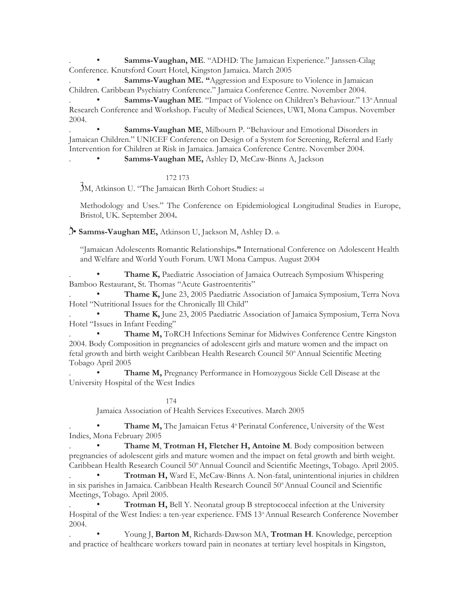Samms-Vaughan, ME. "ADHD: The Jamaican Experience." Janssen-Cilag Conference. Knutsford Court Hotel, Kingston Jamaica. March 2005

Samms-Vaughan ME. "Aggression and Exposure to Violence in Jamaican Children. Caribbean Psychiatry Conference." Jamaica Conference Centre. November 2004.

Samms-Vaughan ME. "Impact of Violence on Children's Behaviour." 13<sup>th</sup> Annual Research Conference and Workshop. Faculty of Medical Sciences, UWI, Mona Campus. November 2004.

Samms-Vaughan ME, Milbourn P. "Behaviour and Emotional Disorders in Jamaican Children." UNICEF Conference on Design of a System for Screening, Referral and Early Intervention for Children at Risk in Jamaica. Jamaica Conference Centre. November 2004.

Samms-Vaughan ME, Ashley D, McCaw-Binns A, Jackson

172 173

M, Atkinson U. "The Jamaican Birth Cohort Studies: rd

Methodology and Uses." The Conference on Epidemiological Longitudinal Studies in Europe, Bristol, UK. September 2004**.** 

• **Samms-Vaughan ME,** Atkinson U, Jackson M, Ashley D. th

"Jamaican Adolescents Romantic Relationships**."** International Conference on Adolescent Health and Welfare and World Youth Forum. UWI Mona Campus. August 2004

Thame K, Paediatric Association of Jamaica Outreach Symposium Whispering Bamboo Restaurant, St. Thomas "Acute Gastroenteritis"

Thame K, June 23, 2005 Paediatric Association of Jamaica Symposium, Terra Nova Hotel "Nutritional Issues for the Chronically Ill Child"

. • **Thame K,** June 23, 2005 Paediatric Association of Jamaica Symposium, Terra Nova Hotel "Issues in Infant Feeding"

. • **Thame M,** ToRCH Infections Seminar for Midwives Conference Centre Kingston 2004. Body Composition in pregnancies of adolescent girls and mature women and the impact on fetal growth and birth weight Caribbean Health Research Council 50<sup>th</sup> Annual Scientific Meeting Tobago April 2005

Thame M, Pregnancy Performance in Homozygous Sickle Cell Disease at the University Hospital of the West Indies

174

Jamaica Association of Health Services Executives. March 2005

Thame M, The Jamaican Fetus 4<sup>th</sup> Perinatal Conference, University of the West Indies, Mona February 2005

. • **Thame M**, **Trotman H, Fletcher H, Antoine M**. Body composition between pregnancies of adolescent girls and mature women and the impact on fetal growth and birth weight. Caribbean Health Research Council 50<sup>th</sup> Annual Council and Scientific Meetings, Tobago. April 2005.

. • **Trotman H,** Ward E, McCaw-Binns A. Non-fatal, unintentional injuries in children in six parishes in Jamaica. Caribbean Health Research Council 50<sup>th</sup> Annual Council and Scientific Meetings, Tobago. April 2005.

Trotman H, Bell Y. Neonatal group B streptococcal infection at the University Hospital of the West Indies: a ten-year experience. FMS 13<sup>th</sup> Annual Research Conference November 2004.

Young J, Barton M, Richards-Dawson MA, Trotman H. Knowledge, perception and practice of healthcare workers toward pain in neonates at tertiary level hospitals in Kingston,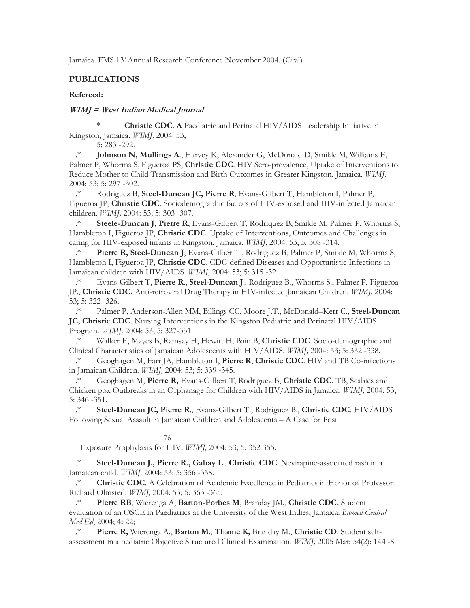Jamaica. FMS 13<sup>th</sup> Annual Research Conference November 2004. **(**Oral)

## **PUBLICATIONS**

#### **Refereed:**

## **WIMJ = West Indian Medical Journal**

\* **Christie CDC**. **A** Paediatric and Perinatal HIV/AIDS Leadership Initiative in Kingston, Jamaica. *WIMJ,* 2004: 53;

5: 283 -292.

.\* **Johnson N, Mullings A**., Harvey K, Alexander G, McDonald D, Smikle M, Williams E, Palmer P, Whorms S, Figueroa PS, **Christie CDC**. HIV Sero-prevalence, Uptake of Interventions to Reduce Mother to Child Transmission and Birth Outcomes in Greater Kingston, Jamaica. *WIMJ,*  2004: 53; 5: 297 -302.

.\* Rodriguez B, **Steel-Duncan JC, Pierre R**, Evans-Gilbert T, Hambleton I, Palmer P, Figueroa JP, **Christie CDC**. Sociodemographic factors of HIV-exposed and HIV-infected Jamaican children. *WIMJ,* 2004: 53; 5: 303 -307.

.\* **Steele-Duncan J, Pierre R**, Evans-Gilbert T, Rodriquez B, Smikle M, Palmer P, Whorms S, Hambleton I, Figueroa JP, **Christie CDC**. Uptake of Interventions, Outcomes and Challenges in caring for HIV-exposed infants in Kingston, Jamaica. *WIMJ,* 2004: 53; 5: 308 -314.

.\* **Pierre R, Steel-Duncan J**, Evans-Gilbert T, Rodriguez B, Palmer P, Smikle M, Whorms S, Hambleton I, Figueroa JP, **Christie CDC**. CDC-defined Diseases and Opportunistic Infections in Jamaican children with HIV/AIDS. *WIMJ,* 2004: 53; 5: 315 -321.

.\* Evans-Gilbert T, **Pierre R**., **Steel-Duncan J**., Rodriguez B., Whorms S., Palmer P, Figueroa JP., **Christie CDC.** Anti-retroviral Drug Therapy in HIV-infected Jamaican Children. *WIMJ,* 2004: 53; 5: 322 -326.

.\* Palmer P, Anderson-Allen MM, Billings CC, Moore J.T., McDonald–Kerr C., **Steel-Duncan JC, Christie CDC**. Nursing Interventions in the Kingston Pediatric and Perinatal HIV/AIDS Program. *WIMJ,* 2004: 53; 5: 327-331.

.\* Walker E, Mayes B, Ramsay H, Hewitt H, Bain B, **Christie CDC**. Socio-demographic and Clinical Characteristics of Jamaican Adolescents with HIV/AIDS. *WIMJ,* 2004: 53; 5: 332 -338.

.\* Geoghagen M, Farr JA, Hambleton I, **Pierre R**, **Christie CDC**. HIV and TB Co-infections in Jamaican Children. *WIMJ,* 2004: 53; 5: 339 -345.<br><sup>\*</sup> Geoghagen M. **Pierre R.** Evans-Gilbert T.

.\* Geoghagen M, **Pierre R,** Evans-Gilbert T, Rodriguez B, **Christie CDC**. TB, Scabies and Chicken pox Outbreaks in an Orphanage for Children with HIV/AIDS in Jamaica. *WIMJ,* 2004: 53; 5: 346 -351.

.\* **Steel-Duncan JC, Pierre R**., Evans-Gilbert T., Rodriguez B., **Christie CDC**. HIV/AIDS Following Sexual Assault in Jamaican Children and Adolescents – A Case for Post

176

Exposure Prophylaxis for HIV. *WIMJ,* 2004: 53; 5: 352 355.

**Steel-Duncan J., Pierre R., Gabay L., Christie CDC**. Nevirapine-associated rash in a Jamaican child. *WIMJ,* 2004: 53; 5: 356 -358.

.\* **Christie CDC**. A Celebration of Academic Excellence in Pediatrics in Honor of Professor Richard Olmsted. *WIMJ,* 2004: 53; 5: 363 -365.

.\* **Pierre RB**, Wierenga A, **Barton-Forbes M**, Branday JM., **Christie CDC.** Student evaluation of an OSCE in Paediatrics at the University of the West Indies, Jamaica. *Biomed Central Med Ed*, 2004; 4**:** 22;

.\* **Pierre R,** Wierenga A., **Barton M**., **Thame K,** Branday M., **Christie CD**. Student selfassessment in a pediatric Objective Structured Clinical Examination. *WIMJ,* 2005 Mar; 54(2): 144 -8.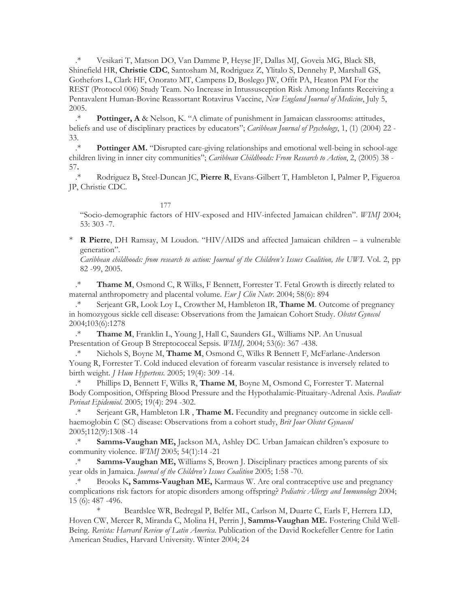.\* Vesikari T, Matson DO, Van Damme P, Heyse JF, Dallas MJ, Goveia MG, Black SB, Shinefield HR, **Christie CDC**, Santosham M, Rodriguez Z, Ylitalo S, Dennehy P, Marshall GS, Gothefors L, Clark HF, Onorato MT, Campens D, Boslego JW, Offit PA, Heaton PM For the REST (Protocol 006) Study Team. No Increase in Intussusception Risk Among Infants Receiving a Pentavalent Human-Bovine Reassortant Rotavirus Vaccine, *New England Journal of Medicine*, July 5, 2005.

.\* **Pottinger, A** & Nelson, K. "A climate of punishment in Jamaican classrooms: attitudes, beliefs and use of disciplinary practices by educators"; *Caribbean Journal of Psychology*, 1, (1) (2004) 22 - 33.

.\* **Pottinger AM.** "Disrupted care-giving relationships and emotional well-being in school-age children living in inner city communities"; *Caribbean Childhoods: From Research to Action*, 2, (2005) 38 - 57**.** 

.\* Rodriguez B**,** Steel-Duncan JC, **Pierre R**, Evans-Gilbert T, Hambleton I, Palmer P, Figueroa JP, Christie CDC.

177

"Socio-demographic factors of HIV-exposed and HIV-infected Jamaican children". *WIMJ* 2004; 53: 303 -7.

\* **R Pierre**, DH Ramsay, M Loudon. "HIV/AIDS and affected Jamaican children – a vulnerable generation".

*Caribbean childhoods: from research to action: Journal of the Children's Issues Coalition, the UWI*. Vol. 2, pp 82 -99, 2005.

.\* **Thame M**, Osmond C, R Wilks, F Bennett, Forrester T. Fetal Growth is directly related to maternal anthropometry and placental volume. *Eur J Clin Nutr*. 2004; 58(6): 894

.\* Serjeant GR, Look Loy L, Crowther M, Hambleton IR, **Thame M**. Outcome of pregnancy in homozygous sickle cell disease: Observations from the Jamaican Cohort Study. *Obstet Gynecol*  2004;103(6):1278

.\* **Thame M**, Franklin L, Young J, Hall C, Saunders GL, Williams NP. An Unusual Presentation of Group B Streptococcal Sepsis. *WIMJ,* 2004; 53(6): 367 -438.

.\* Nichols S, Boyne M, **Thame M**, Osmond C, Wilks R Bennett F, McFarlane-Anderson Young R, Forrester T. Cold induced elevation of forearm vascular resistance is inversely related to birth weight. *J Hum Hypertens.* 2005; 19(4): 309 -14.

.\* Phillips D, Bennett F, Wilks R, **Thame M**, Boyne M, Osmond C, Forrester T. Maternal Body Composition, Offspring Blood Pressure and the Hypothalamic-Pituaitary-Adrenal Axis. *Paediatr Perinat Epidemiol*. 2005; 19(4): 294 -302.

.\* Serjeant GR, Hambleton I.R , **Thame M.** Fecundity and pregnancy outcome in sickle cellhaemoglobin C (SC) disease: Observations from a cohort study, *Brit Jour Obstet Gynaecol*  2005;112(9):1308 -14

.\* **Samms-Vaughan ME,** Jackson MA, Ashley DC. Urban Jamaican children's exposure to community violence. *WIMJ* 2005; 54(1):14 -21

.\* **Samms-Vaughan ME,** Williams S, Brown J. Disciplinary practices among parents of six year olds in Jamaica. *Journal of the Children's Issues Coalition* 2005; 1:58 -70.

.\* Brooks K**, Samms-Vaughan ME,** Karmaus W. Are oral contraceptive use and pregnancy complications risk factors for atopic disorders among offspring? *Pediatric Allergy and Immunology* 2004; 15 (6): 487 -496.

Beardslee WR, Bedregal P, Belfer ML, Carlson M, Duarte C, Earls F, Herrera LD, Hoven CW, Mercer R, Miranda C, Molina H, Perrin J, **Samms-Vaughan ME.** Fostering Child Well-Being. *Revista: Harvard Review of Latin America.* Publication of the David Rockefeller Centre for Latin American Studies, Harvard University. Winter 2004; 24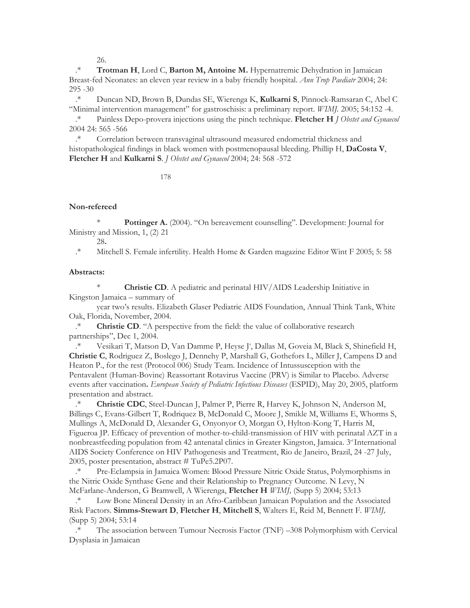26.

.\* **Trotman H**, Lord C, **Barton M, Antoine M.** Hypernatremic Dehydration in Jamaican Breast-fed Neonates: an eleven year review in a baby friendly hospital. *Ann Trop Paediatr* 2004; 24: 295 -30

.\* Duncan ND, Brown B, Dundas SE, Wierenga K, **Kulkarni S**, Pinnock-Ramsaran C, Abel C "Minimal intervention management" for gastroschisis: a preliminary report. *WIMJ.* 2005; 54:152 -4.

.\* Painless Depo-provera injections using the pinch technique. **Fletcher H** *J Obstet and Gynaecol*  2004 24: 565 -566

.\* Correlation between transvaginal ultrasound measured endometrial thickness and histopathological findings in black women with postmenopausal bleeding. Phillip H, **DaCosta V**, **Fletcher H** and **Kulkarni S**. *J Obstet and Gynaecol* 2004; 24: 568 -572

178

#### **Non-refereed**

**Pottinger A.** (2004). "On bereavement counselling". Development: Journal for Ministry and Mission, 1, (2) 21

28**.** 

.\* Mitchell S. Female infertility. Health Home & Garden magazine Editor Wint F 2005; 5: 58

#### **Abstracts:**

**Christie CD**. A pediatric and perinatal HIV/AIDS Leadership Initiative in Kingston Jamaica – summary of

year two's results. Elizabeth Glaser Pediatric AIDS Foundation, Annual Think Tank, White Oak, Florida, November, 2004.

.\* **Christie CD**. "A perspective from the field: the value of collaborative research partnerships", Dec 1, 2004.

\* Vesikari T, Matson D, Van Damme P, Heyse J<sup>+</sup>, Dallas M, Goveia M, Black S, Shinefield H, **Christie C**, Rodriguez Z, Boslego J, Dennehy P, Marshall G, Gothefors L, Miller J, Campens D and Heaton P., for the rest (Protocol 006) Study Team. Incidence of Intussusception with the Pentavalent (Human-Bovine) Reassortant Rotavirus Vaccine (PRV) is Similar to Placebo. Adverse events after vaccination**.** *European Society of Pediatric Infectious Diseases* (ESPID), May 20, 2005, platform presentation and abstract.

.\* **Christie CDC**, Steel-Duncan J, Palmer P, Pierre R, Harvey K, Johnson N, Anderson M, Billings C, Evans-Gilbert T, Rodriquez B, McDonald C, Moore J, Smikle M, Williams E, Whorms S, Mullings A, McDonald D, Alexander G, Onyonyor O, Morgan O, Hylton-Kong T, Harris M, Figueroa JP. Efficacy of prevention of mother-to-child-transmission of HIV with perinatal AZT in a nonbreastfeeding population from 42 antenatal clinics in Greater Kingston, Jamaica. 3<sup>rd</sup> International AIDS Society Conference on HIV Pathogenesis and Treatment, Rio de Janeiro, Brazil, 24 -27 July, 2005, poster presentation, abstract # TuPe5.2P07.

.\* Pre-Eclampsia in Jamaica Women: Blood Pressure Nitric Oxide Status, Polymorphisms in the Nitric Oxide Synthase Gene and their Relationship to Pregnancy Outcome. N Levy, N McFarlane-Anderson, G Bramwell, A Wierenga, **Fletcher H** *WIMJ,* (Supp 5) 2004; 53:13

.\* Low Bone Mineral Density in an Afro-Caribbean Jamaican Population and the Associated Risk Factors. **Simms-Stewart D**, **Fletcher H**, **Mitchell S**, Walters E, Reid M, Bennett F. *WIMJ,*  (Supp 5) 2004; 53:14

The association between Tumour Necrosis Factor (TNF) –308 Polymorphism with Cervical Dysplasia in Jamaican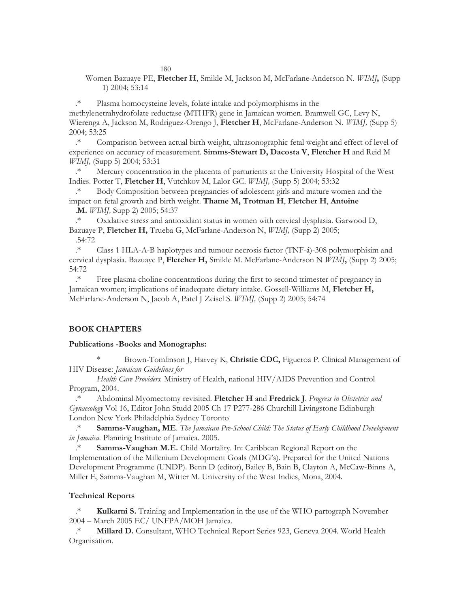180

Women Bazuaye PE, **Fletcher H**, Smikle M, Jackson M, McFarlane-Anderson N. *WIMJ***,** (Supp 1) 2004; 53:14

.\* Plasma homocysteine levels, folate intake and polymorphisms in the methylenetrahydrofolate reductase (MTHFR) gene in Jamaican women. Bramwell GC, Levy N, Wierenga A, Jackson M, Rodriguez-Orengo J, **Fletcher H**, McFarlane-Anderson N. *WIMJ,* (Supp 5) 2004; 53:25

.\* Comparison between actual birth weight, ultrasonographic fetal weight and effect of level of experience on accuracy of measurement. **Simms-Stewart D, Dacosta V**, **Fletcher H** and Reid M *WIMJ,* (Supp 5) 2004; 53:31

.\* Mercury concentration in the placenta of parturients at the University Hospital of the West Indies. Potter T, **Fletcher H**, Vutchkov M, Lalor GC. *WIMJ,* (Supp 5) 2004; 53:32

.\* Body Composition between pregnancies of adolescent girls and mature women and the impact on fetal growth and birth weight. **Thame M, Trotman H**, **Fletcher H**, **Antoine**  .**M.** *WIMJ,* Supp 2) 2005; 54:37

.\* Oxidative stress and antioxidant status in women with cervical dysplasia. Garwood D, Bazuaye P, **Fletcher H,** Trueba G, McFarlane-Anderson N, *WIMJ,* (Supp 2) 2005; .54:72

.\* Class 1 HLA-A-B haplotypes and tumour necrosis factor (TNF-á)-308 polymorphisim and cervical dysplasia. Bazuaye P, **Fletcher H,** Smikle M. McFarlane-Anderson N *WIMJ***,** (Supp 2) 2005; 54:72

.\* Free plasma choline concentrations during the first to second trimester of pregnancy in Jamaican women; implications of inadequate dietary intake. Gossell-Williams M, **Fletcher H,**  McFarlane-Anderson N, Jacob A, Patel J Zeisel S. *WIMJ,* (Supp 2) 2005; 54:74

## **BOOK CHAPTERS**

#### **Publications -Books and Monographs:**

\* Brown-Tomlinson J, Harvey K, **Christie CDC,** Figueroa P. Clinical Management of HIV Disease: *Jamaican Guidelines for* 

*Health Care Providers.* Ministry of Health, national HIV/AIDS Prevention and Control Program, 2004.

.\* Abdominal Myomectomy revisited. **Fletcher H** and **Fredrick J**. *Progress in Obstetrics and Gynaecology* Vol 16, Editor John Studd 2005 Ch 17 P277-286 Churchill Livingstone Edinburgh London New York Philadelphia Sydney Toronto

.\* **Samms-Vaughan, ME**. *The Jamaican Pre-School Child: The Status of Early Childhood Development in Jamaica.* Planning Institute of Jamaica. 2005.

Samms-Vaughan M.E. Child Mortality. In: Caribbean Regional Report on the Implementation of the Millenium Development Goals (MDG's). Prepared for the United Nations Development Programme (UNDP). Benn D (editor), Bailey B, Bain B, Clayton A, McCaw-Binns A, Miller E, Samms-Vaughan M, Witter M. University of the West Indies, Mona, 2004.

#### **Technical Reports**

Kulkarni S. Training and Implementation in the use of the WHO partograph November 2004 – March 2005 EC/ UNFPA/MOH Jamaica.

.\* **Millard D.** Consultant, WHO Technical Report Series 923, Geneva 2004. World Health Organisation.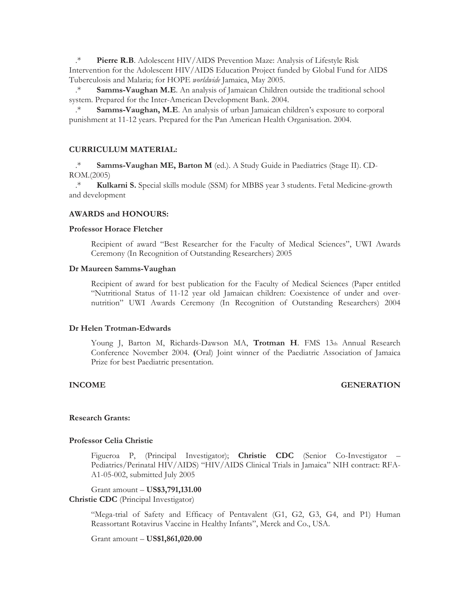.\* **Pierre R.B**. Adolescent HIV/AIDS Prevention Maze: Analysis of Lifestyle Risk Intervention for the Adolescent HIV/AIDS Education Project funded by Global Fund for AIDS Tuberculosis and Malaria; for HOPE *worldwide* Jamaica, May 2005.

.\* **Samms-Vaughan M.E**. An analysis of Jamaican Children outside the traditional school system. Prepared for the Inter-American Development Bank. 2004.

Samms-Vaughan, M.E. An analysis of urban Jamaican children's exposure to corporal punishment at 11-12 years. Prepared for the Pan American Health Organisation. 2004.

#### **CURRICULUM MATERIAL:**

.\* **Samms-Vaughan ME, Barton M** (ed.). A Study Guide in Paediatrics (Stage II). CD-ROM.(2005)

.\* **Kulkarni S.** Special skills module (SSM) for MBBS year 3 students. Fetal Medicine-growth and development

#### **AWARDS and HONOURS:**

#### **Professor Horace Fletcher**

Recipient of award "Best Researcher for the Faculty of Medical Sciences", UWI Awards Ceremony (In Recognition of Outstanding Researchers) 2005

#### **Dr Maureen Samms-Vaughan**

Recipient of award for best publication for the Faculty of Medical Sciences (Paper entitled "Nutritional Status of 11-12 year old Jamaican children: Coexistence of under and overnutrition" UWI Awards Ceremony (In Recognition of Outstanding Researchers) 2004

#### **Dr Helen Trotman-Edwards**

Young J, Barton M, Richards-Dawson MA, Trotman H. FMS 13th Annual Research Conference November 2004. **(**Oral) Joint winner of the Paediatric Association of Jamaica Prize for best Paediatric presentation.

## **INCOME GENERATION**

#### **Research Grants:**

#### **Professor Celia Christie**

Figueroa P, (Principal Investigator); **Christie CDC** (Senior Co-Investigator – Pediatrics/Perinatal HIV/AIDS) "HIV/AIDS Clinical Trials in Jamaica" NIH contract: RFA-A1-05-002, submitted July 2005

Grant amount – **US\$3,791,131.00** 

#### **Christie CDC** (Principal Investigator)

"Mega-trial of Safety and Efficacy of Pentavalent (G1, G2, G3, G4, and P1) Human Reassortant Rotavirus Vaccine in Healthy Infants", Merck and Co., USA.

#### Grant amount – **US\$1,861,020.00**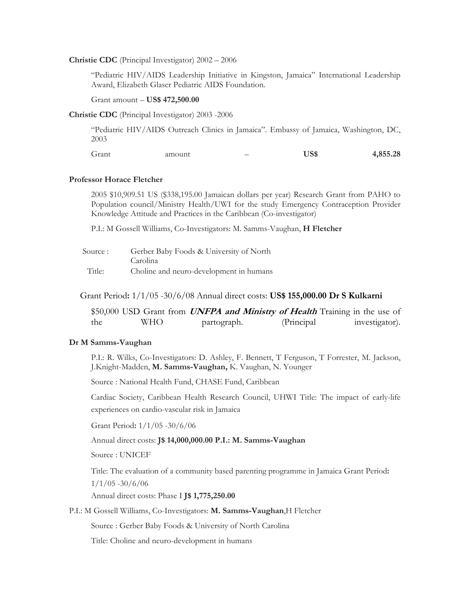#### **Christie CDC** (Principal Investigator) 2002 – 2006

"Pediatric HIV/AIDS Leadership Initiative in Kingston, Jamaica" International Leadership Award, Elizabeth Glaser Pediatric AIDS Foundation.

Grant amount – **US\$ 472,500.00** 

**Christie CDC** (Principal Investigator) 2003 -2006

"Pediatric HIV/AIDS Outreach Clinics in Jamaica". Embassy of Jamaica, Washington, DC, 2003

Grant amount – **US\$ 4,855.28** 

#### **Professor Horace Fletcher**

2005 \$10,909.51 US (\$338,195.00 Jamaican dollars per year) Research Grant from PAHO to Population council/Ministry Health/UWI for the study Emergency Contraception Provider Knowledge Attitude and Practices in the Caribbean (Co-investigator)

P.I.: M Gossell Williams, Co-Investigators: M. Samms-Vaughan, **H Fletcher** 

| Source : | Gerber Baby Foods & University of North |
|----------|-----------------------------------------|
|          | Carolina                                |
| Title:   | Choline and neuro-development in humans |

Grant Period**:** 1/1/05 -30/6/08 Annual direct costs: **US\$ 155,000.00 Dr S Kulkarni** 

|     |     | \$50,000 USD Grant from <i>UNFPA and Ministry of Health</i> Training in the use of |             |                |
|-----|-----|------------------------------------------------------------------------------------|-------------|----------------|
| the | WHO | partograph.                                                                        | (Principal) | investigator). |

#### **Dr M Samms-Vaughan**

P.I.: R. Wilks, Co-Investigators: D. Ashley, F. Bennett, T Ferguson, T Forrester, M. Jackson, J.Knight-Madden, **M. Samms-Vaughan,** K. Vaughan, N. Younger

Source : National Health Fund, CHASE Fund, Caribbean

Cardiac Society, Caribbean Health Research Council, UHWI Title: The impact of early-life experiences on cardio-vascular risk in Jamaica

Grant Period**:** 1/1/05 -30/6/06

Annual direct costs: **J\$ 14,000,000.00 P.I.: M. Samms-Vaughan** 

Source : UNICEF

Title: The evaluation of a community based parenting programme in Jamaica Grant Period**:**  1/1/05 -30/6/06

Annual direct costs: Phase I **J\$ 1,775,250.00** 

P.I.: M Gossell Williams, Co-Investigators: **M. Samms-Vaughan**,H Fletcher

Source : Gerber Baby Foods & University of North Carolina

Title: Choline and neuro-development in humans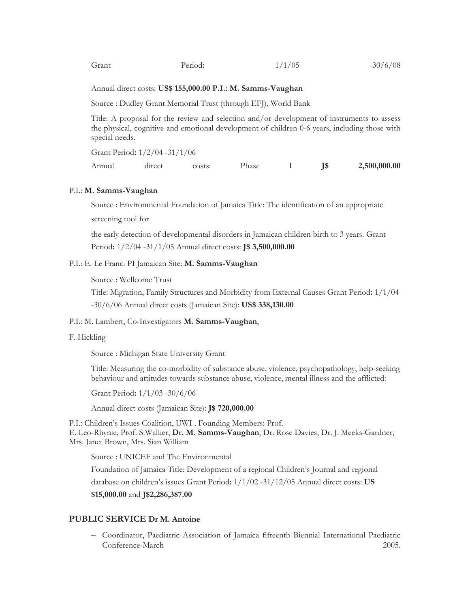| Grant<br>Period: | 1/1/05 | $-30/6/08$ |
|------------------|--------|------------|
|------------------|--------|------------|

#### Annual direct costs: **US\$ 155,000.00 P.I.: M. Samms-Vaughan**

Source : Dudley Grant Memorial Trust (through EFJ), World Bank

Title: A proposal for the review and selection and/or development of instruments to assess the physical, cognitive and emotional development of children 0-6 years, including those with special needs.

Grant Period**:** 1/2/04 -31/1/06

| Annual | direct | costs: | Phase |  | 2,500,000.00 |
|--------|--------|--------|-------|--|--------------|
|        |        |        |       |  |              |

#### P.I.: **M. Samms-Vaughan**

Source : Environmental Foundation of Jamaica Title: The identification of an appropriate screening tool for

the early detection of developmental disorders in Jamaican children birth to 3 years. Grant Period**:** 1/2/04 -31/1/05 Annual direct costs: **J\$ 3,500,000.00** 

## P.I.: E. Le Franc. PI Jamaican Site: **M. Samms-Vaughan**

Source : Wellcome Trust

Title: Migration, Family Structures and Morbidity from External Causes Grant Period**:** 1/1/04 -30/6/06 Annual direct costs (Jamaican Site): **US\$ 338,130.00** 

#### P.I.: M. Lambert, Co-Investigators **M. Samms-Vaughan**,

#### F. Hickling

Source : Michigan State University Grant

Title: Measuring the co-morbidity of substance abuse, violence, psychopathology, help-seeking behaviour and attitudes towards substance abuse, violence, mental illness and the afflicted:

Grant Period**:** 1/1/03 -30/6/06

Annual direct costs (Jamaican Site): **J\$ 720,000.00** 

P.I.: Children's Issues Coalition, UWI . Founding Members: Prof. E. Leo-Rhynie, Prof. S.Walker, **Dr. M. Samms-Vaughan**, Dr. Rose Davies, Dr. J. Meeks-Gardner, Mrs. Janet Brown, Mrs. Sian William

Source : UNICEF and The Environmental

Foundation of Jamaica Title: Development of a regional Children's Journal and regional database on children's issues Grant Period**:** 1/1/02 -31/12/05 Annual direct costs: **US \$15,000.00** and **J\$2,286,387.00** 

## **PUBLIC SERVICE Dr M. Antoine**

– Coordinator, Paediatric Association of Jamaica fifteenth Biennial International Paediatric Conference-March 2005.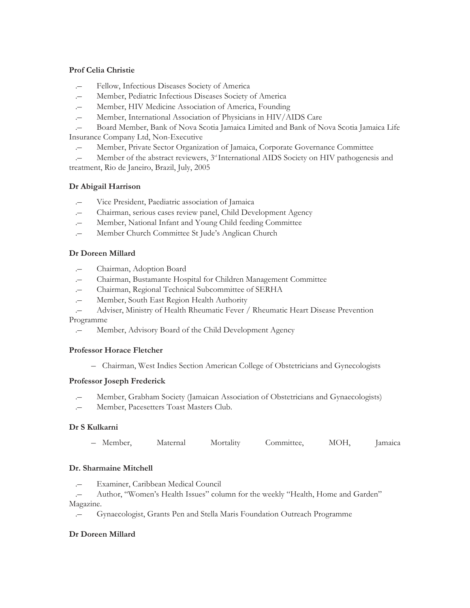## **Prof Celia Christie**

- .– Fellow, Infectious Diseases Society of America
- .– Member, Pediatric Infectious Diseases Society of America
- Member, HIV Medicine Association of America, Founding
- Member, International Association of Physicians in HIV/AIDS Care

.– Board Member, Bank of Nova Scotia Jamaica Limited and Bank of Nova Scotia Jamaica Life Insurance Company Ltd, Non-Executive

.– Member, Private Sector Organization of Jamaica, Corporate Governance Committee

Member of the abstract reviewers,  $3<sup>rd</sup>$  International AIDS Society on HIV pathogenesis and treatment, Rio de Janeiro, Brazil, July, 2005

## **Dr Abigail Harrison**

- .– Vice President, Paediatric association of Jamaica
- .– Chairman, serious cases review panel, Child Development Agency
- Member, National Infant and Young Child feeding Committee
- .– Member Church Committee St Jude's Anglican Church

## **Dr Doreen Millard**

- .– Chairman, Adoption Board
- .– Chairman, Bustamante Hospital for Children Management Committee
- .– Chairman, Regional Technical Subcommittee of SERHA
- .– Member, South East Region Health Authority
- .– Adviser, Ministry of Health Rheumatic Fever / Rheumatic Heart Disease Prevention Programme
	- .– Member, Advisory Board of the Child Development Agency

## **Professor Horace Fletcher**

– Chairman, West Indies Section American College of Obstetricians and Gynecologists

## **Professor Joseph Frederick**

- .– Member, Grabham Society (Jamaican Association of Obstetricians and Gynaecologists)
- Member, Pacesetters Toast Masters Club.

## **Dr S Kulkarni**

– Member, Maternal Mortality Committee, MOH, Jamaica

## **Dr. Sharmaine Mitchell**

.– Examiner, Caribbean Medical Council

Author, "Women's Health Issues" column for the weekly "Health, Home and Garden" Magazine.

.– Gynaecologist, Grants Pen and Stella Maris Foundation Outreach Programme

## **Dr Doreen Millard**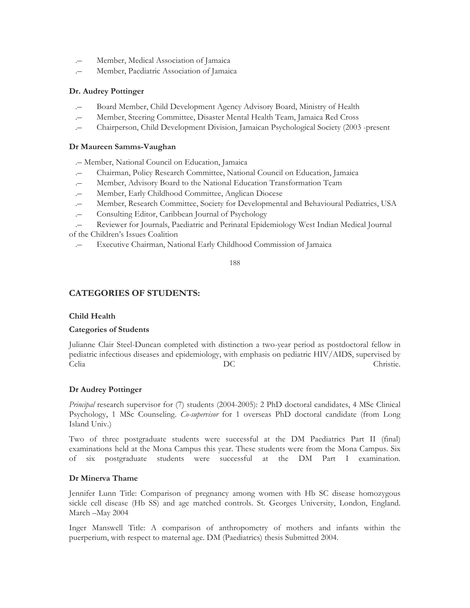- .– Member, Medical Association of Jamaica
- Member, Paediatric Association of Jamaica

## **Dr. Audrey Pottinger**

- .– Board Member, Child Development Agency Advisory Board, Ministry of Health
- .– Member, Steering Committee, Disaster Mental Health Team, Jamaica Red Cross
- .– Chairperson, Child Development Division, Jamaican Psychological Society (2003 -present

## **Dr Maureen Samms-Vaughan**

- .– Member, National Council on Education, Jamaica
- .– Chairman, Policy Research Committee, National Council on Education, Jamaica
- .– Member, Advisory Board to the National Education Transformation Team
- .– Member, Early Childhood Committee, Anglican Diocese
- .– Member, Research Committee, Society for Developmental and Behavioural Pediatrics, USA
- .– Consulting Editor, Caribbean Journal of Psychology
- .– Reviewer for Journals, Paediatric and Perinatal Epidemiology West Indian Medical Journal of the Children's Issues Coalition
	- .– Executive Chairman, National Early Childhood Commission of Jamaica

188

## **CATEGORIES OF STUDENTS:**

## **Child Health**

#### **Categories of Students**

Julianne Clair Steel-Duncan completed with distinction a two-year period as postdoctoral fellow in pediatric infectious diseases and epidemiology, with emphasis on pediatric HIV/AIDS, supervised by Celia DC Christie.

#### **Dr Audrey Pottinger**

*Principal* research supervisor for (7) students (2004-2005): 2 PhD doctoral candidates, 4 MSc Clinical Psychology, 1 MSc Counseling. *Co-supervisor* for 1 overseas PhD doctoral candidate (from Long Island Univ.)

Two of three postgraduate students were successful at the DM Paediatrics Part II (final) examinations held at the Mona Campus this year. These students were from the Mona Campus. Six of six postgraduate students were successful at the DM Part I examination.

#### **Dr Minerva Thame**

Jennifer Lunn Title: Comparison of pregnancy among women with Hb SC disease homozygous sickle cell disease (Hb SS) and age matched controls. St. Georges University, London, England. March –May 2004

Inger Manswell Title: A comparison of anthropometry of mothers and infants within the puerperium, with respect to maternal age. DM (Paediatrics) thesis Submitted 2004.